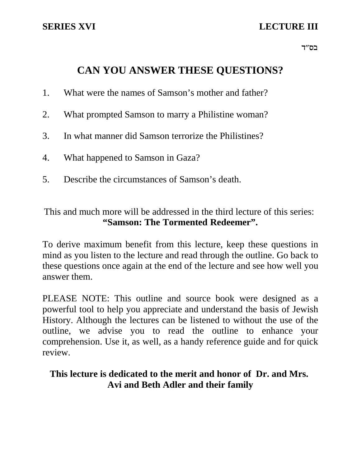# **SERIES XVI** LECTURE III

בס"ד $\,$ 

# **CAN YOU ANSWER THESE QUESTIONS?**

- 1. What were the names of Samson's mother and father?
- 2. What prompted Samson to marry a Philistine woman?
- 3. In what manner did Samson terrorize the Philistines?
- 4. What happened to Samson in Gaza?
- 5. Describe the circumstances of Samson's death.

This and much more will be addressed in the third lecture of this series: **"Samson: The Tormented Redeemer".**

To derive maximum benefit from this lecture, keep these questions in mind as you listen to the lecture and read through the outline. Go back to these questions once again at the end of the lecture and see how well you answer them.

PLEASE NOTE: This outline and source book were designed as a powerful tool to help you appreciate and understand the basis of Jewish History. Although the lectures can be listened to without the use of the outline, we advise you to read the outline to enhance your comprehension. Use it, as well, as a handy reference guide and for quick review.

## **This lecture is dedicated to the merit and honor of Dr. and Mrs. Avi and Beth Adler and their family**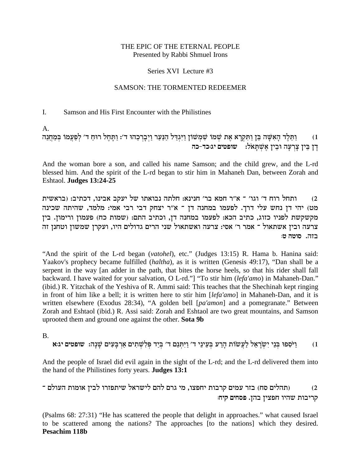### THE EPIC OF THE ETERNAL PEOPLE Presented by Rabbi Shmuel Irons

### Series XVI Lecture #3

### **SAMSON: THE TORMENTED REDEEMER**

#### $\mathbf{I}$ . Samson and His First Encounter with the Philistines

 $A_{\cdot}$ 

וַתֵּלֶד הָאִשָּׁה בֵּן וַתִּקְרָא אֶת שְׁמֹוֹ שִׁמְשׁוֹן וַיִּגְדַּל הַנַּעַר וַיְבְרְכֵהוּ ד׳: וַתְּהֶל רוּחַ ד׳ לְפַעֲמוֹ בְּמַחֲנֵה  $(1)$ .<br>דַן בֵּין צַרְעַה וּבִין אשׁתּאל: שופטים יג:כד-כה

And the woman bore a son, and called his name Samson; and the child grew, and the L-rd blessed him. And the spirit of the L-rd began to stir him in Mahaneh Dan, between Zorah and **Eshtaol.** Judges 13:24-25

ותחל רוח ד' וגו' ־ א"ר חמא בר' חנינא: חלתה נבואתו של יעקב אבינו, דכתיב: (בראשית  $(2)$ מט) יהי דן נחש עלי דרך. לפעמו במחנה דן ־ א"ר יצחק דבי רבי אמי: מלמד, שהיתה שכינה מקשקשת לפניו כזוג, כתיב הכא: לפעמו במחנה דן, וכתיב התם: (שמות כח) פעמון ורימון. בין צרעה ובין אשתאול ־ אמר ר' אסי: צרעה ואשתאול שני הרים גדולים היו, ועקרן שמשון וטחנן זה בזה. סוטה ט:

"And the spirit of the L-rd began (vatohel), etc." (Judges 13:15) R. Hama b. Hanina said: Yaakov's prophecy became fulfilled *(haltha)*, as it is written *(Genesis 49:17)*, "Dan shall be a serpent in the way [an adder in the path, that bites the horse heels, so that his rider shall fall backward. I have waited for your salvation, O L-rd."] "To stir him (lefa'amo) in Mahaneh-Dan." (ibid.) R. Yitzchak of the Yeshiva of R. Ammi said: This teaches that the Shechinah kept ringing in front of him like a bell; it is written here to stir him [lefa'amo] in Mahaneh-Dan, and it is written elsewhere (Exodus 28:34), "A golden bell [pa'amon] and a pomegranate." Between Zorah and Eshtaol (ibid.) R. Assi said: Zorah and Eshtaol are two great mountains, and Samson uprooted them and ground one against the other. Sota 9b

 $\mathbf{B}$ 

וַיֹּסְפוּ בִּנֵי יִשְׂרָאֵל לַעֲשׂוֹת הַרַע בִּעֵינֵי ד׳ וַיִּתְּנֵם ד׳ בִּיַד פִּלְשָׁתִים אַרְבַּעִים שַׁנַה: שופטים יג:א  $(1)$ 

And the people of Israel did evil again in the sight of the L-rd; and the L-rd delivered them into the hand of the Philistines forty years. **Judges 13:1** 

(תהלים סח) בזר עמים קרבות יחפצו, מי גרם להם לישראל שיתפזרו לבין אומות העולם ־  $(2)$ קריבות שהיו חפצין בהן. פסחים קיח:

(Psalms 68: 27:31) "He has scattered the people that delight in approaches." what caused Israel to be scattered among the nations? The approaches [to the nations] which they desired. Pesachim 118b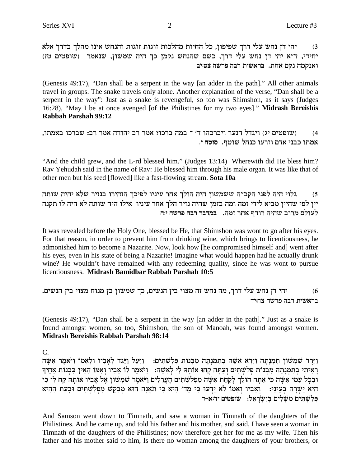יהי דן נחש עלי דרך שפיפון, כל החיות מהלכות זוגות זוגות והנחש אינו מהלך בדרך אלא  $(3)$ יחידי, ד"א יהי דן נחש עלי דרך, כשם שהנחש נקמן כך היה שמשון, שנאמר (שופטים טז) ואנקמה נקם אחת. בראשית רבה פרשה צטויב

(Genesis 49:17), "Dan shall be a serpent in the way [an adder in the path]." All other animals travel in groups. The snake travels only alone. Another explanation of the verse, "Dan shall be a serpent in the way": Just as a snake is revengeful, so too was Shimshon, as it says (Judges 16:28), "May I be at once avenged [of the Philistines for my two eyes]." Midrash Bereishis **Rabbah Parshah 99:12** 

```
ושופטים יג) ויגדל הנער ויברכהו ד׳ ־ במה ברכו? אמר רב יהודה אמר רב: שברכו באמתו,
                                                                         (4)אמתו כבני אדם וזרעו כנחל שוטף. סוטה י.
```
"And the child grew, and the L-rd blessed him." (Judges 13:14) Wherewith did He bless him? Rav Yehudah said in the name of Rav: He blessed him through his male organ. It was like that of other men but his seed [flowed] like a fast-flowing stream. Sota 10a

גלוי היה לפני הקב"ה ששמשון היה הולך אחר עיניו לפיכך הזהירו בנזיר שלא יהיה שותה  $(5)$ יין לפי שהיין מביא לידי זמה ומה בזמן שהיה נזיר הלך אחר עיניו אילו היה שותה לא היה לו תקנה לעולם מרוב שהיה רודף אחר זמה. במדבר רבה פרשה יה

It was revealed before the Holy One, blessed be He, that Shimshon was wont to go after his eyes. For that reason, in order to prevent him from drinking wine, which brings to licentiousness, he admonished him to become a Nazarite. Now, look how [he compromised himself and] went after his eyes, even in his state of being a Nazarite! Imagine what would happen had he actually drunk wine? He wouldn't have remained with any redeeming quality, since he was wont to pursue licentiousness. Midrash Bamidbar Rabbah Parshah 10:5

יהי דן נחש עלי דרך, מה נחש זה מצוי בין הנשים, כך שמשון בן מנוח מצוי בין הנשים.  $(6)$ בראשית רבה פרשה צחייד

(Genesis 49:17), "Dan shall be a serpent in the way [an adder in the path]." Just as a snake is found amongst women, so too, Shimshon, the son of Manoah, was found amongst women. Midrash Bereishis Rabbah Parshah 98:14

C.

וירד שמשון תמנתה וירא אשה בתמנתה מבנות פלשתים: חיעל ויגד לאביו ולאמו ויאמר אשה רַאִיתִי בתמנתה מבנות פלשתים ועתה קחו אותה לי לאשה: ניאמר לו אביו ואמו האין בבנות אחיד ובכל עמי אשה כי אתה הולך לקחת אשה מפלשתים הערלים ויאמר שמשון אל אביו אותה קח לי כי היא יַשְׁרָה בְעֵינַי: וְאָבִיו וְאָמּוֹ לֹא יַדְעוּ כִּי מֵד׳ הִיא כִּי תֹאֲנָה הוּא מְבַקֵּשׁ מִפְּלְשָׁתִּים וּבָעֵת הַהִיא פלשתים משלים בישראל: שופטים יד:א-ד

And Samson went down to Timnath, and saw a woman in Timnath of the daughters of the Philistines. And he came up, and told his father and his mother, and said, I have seen a woman in Timnath of the daughters of the Philistines; now therefore get her for me as my wife. Then his father and his mother said to him, Is there no woman among the daughters of your brothers, or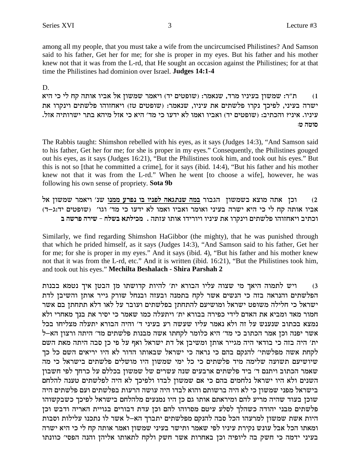among all my people, that you must take a wife from the uncircumcised Philistines? And Samson said to his father, Get her for me; for she is proper in my eyes. But his father and his mother knew not that it was from the L-rd, that He sought an occasion against the Philistines; for at that time the Philistines had dominion over Israel. **Judges 14:1-4**

D.

ת"ר: שמשון בעיניו מרד, שנאמר: (שופטים יד) ויאמר שמשון אל אביו אותה קח לי כי היא ישרה בעיני, לפיכד נקרו פלשתים את עיניו, שנאמר: (שופטים טז) ויאחזוהו פלשתים וינקרו את .<br>עיניו. איני? והכתיב: (שופטים יד) ואביו ואמו לא ידעו כי מד׳ היא כי אזל מיהא בתר ישרותיה אזל. **:h dheq**

The Rabbis taught: Shimshon rebelled with his eyes, as it says (Judges 14:3), "And Samson said to his father, Get her for me; for she is proper in my eyes." Consequently, the Philistines gouged out his eyes, as it says (Judges 16:21), "But the Philistines took him, and took out his eyes." But this is not so [that he committed a crime], for it says (ibid. 14:4), "But his father and his mother knew not that it was from the L-rd." When he went [to choose a wife], however, he was following his own sense of propriety. **Sota 9b**

l` oeyny xn`ie 'py **epnn rxtp ea eiptl d`bzpy dna** xeabd oeynya `ven dz` oke (2 .<br>אביו אותה קח לי כי היא ישרה בעיני ואומר ואביו ואמו לא ידעו כי מד' וגו' (שופטים יד:ג-ד) .<br>וכתיב ויאחזוהו פלשתים וינקרו את עיניו ויורידו אותו עזתה . מכילתא בשלח - שירה פרשה ב

Similarly, we find regarding Shimshon HaGibbor (the mighty), that he was punished through that which he prided himself, as it says (Judges 14:3), "And Samson said to his father, Get her for me; for she is proper in my eyes." And it says (ibid. 4), "But his father and his mother knew not that it was from the L-rd, etc." And it is written (ibid. 16:21), "But the Philistines took him, and took out his eyes."**Mechilta Beshalach - Shira Parshah 2**

3) ריש לתמוה היאך מי שצוה עליו הבורא ית' להיות קדושתו מן הבטן איך נטמא בבנות הפלשתים והנראה בזה כי הנשים אשר לקח בתמנה ובעזה ובנחל שורק גייר אותן והשיבן לדת ישראל כי חלילה משופט ישראל ומושיעם להתחתן בפלשתים ועובר על לאו דלא תתחתן בם אשר חמור מאד ומביא את האדם לידי כפירה בבורא ית' ויתעלה כמו שאמר כי יסיר את בנך מאחרי ולא נמצא בכתוב שנענש על זה ולא נאמר עליו שעשה רע בעיני ד' והיה הבורא יתעלה מצליחו בכל  $\dot{\tau}$ אשר יפנה וכן אמר הכתוב כי מד׳ היא כלומר לקחתו אשה מבנות פלשתים מד׳ היתה ורצון הא ית' היה בזה כי בודאי היה מגייר אותן ומשיבן אל דת ישראל ואף על פי כן סבה היתה מאת השם לקחת אשה מפלשתי׳ להנקם בהם כי נראה כי ישראל שבאותו הדור לא היו יריאים השם כל כך .<br>שיושיעם תשועה שלימה מיד פלשתים כי כל ימי שמשון היו מושלים פלשתים בישראל כי מה שאמר הכתוב ויתנם ד׳ ביד פלשתים ארבעים שנה עשרים של שמשון בכללם על כרחך לפי חשבון  $\,$ השנים ולא היו ישראל נלחמים בהם כי אם שמשון לבדו ולפיכך לא היה לפלשתים טענה להלחם בישראל מפני שמשון כי לא היה ברשותם והוא לבדו היה עושה הרעות בפלשתים ועם פלשתים היה שוכן בעוד שהיה מריע להם ומיראתם אותו גם כן היו נמנעים מלהלחם בישראל לפיכך כשבקשוהו פלשתים מבני יהודה כשהלך לסלע עיטם מסרוהו להם וכן עדת דבורים בגויית האריה ודבש וכן היות אשת שמשון למרעהו הכל סבה להנקם מפלשתים יתברך הא–ל אשר לו נתכנו עלילות וסבות ומאתו הכל אבל עונש נקירת עיניו לפי שאמר ותישר בעיני שמשון ואמר אותה קח לי כי היא ישרה בעיני ידמה כי חשק בה ליופיה וכן באחרות אשר חשק ולקח לתאותו אליהן והנה הפסי׳ כוונתו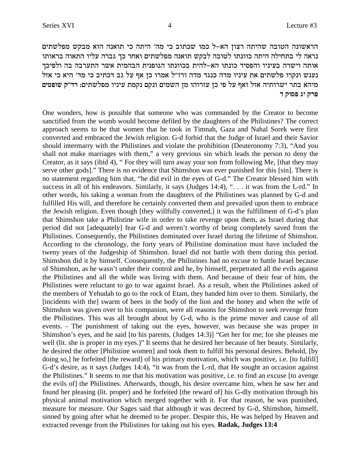הראשונה הטובה שהיתה רצון הא-ל כמו שכתוב כי מה' היתה כי תואנה הוא מבקש מפלשתים נראה לי בתחילה היתה כוונתו לטובה לבקש תואנה מפלשתים ואחר כך גברה עליו התאוה בראותו אותה וישרה בעיניו והפסיד כונתו הא–להית בכוונתו הגופנית הבהמית אשר התערבה בה ולפיכך נענש ונקרו פלשתים את עיניו מדה כנגד מדה ורז"ל אמרו כן אף על גב דכתיב כי מד' היא כי אזל מיהא בתר ישרותיה אזל ואף על פי כן עזרוהו מן השמים ונקם נקמת עיניו מפלשתים: רד״ק שופטים **פרק יג פסוק ד** 

One wonders, how is possible that someone who was commanded by the Creator to become sanctified from the womb would become defiled by the daughters of the Philistines? The correct approach seems to be that women that he took in Timnah, Gaza and Nahal Sorek were first converted and embraced the Jewish religion. G-d forbid that the Judge of Israel and their Savior should intermarry with the Philistines and violate the prohibition (Deuteronomy 7:3), "And you shall not make marriages with them," a very grevious sin which leads the person to deny the Creator, as it says (ibid 4), " For they will turn away your son from following Me, [that they may serve other gods]." There is no evidence that Shimshon was ever punished for this [sin]. There is no statement regarding him that, "he did evil in the eyes of G-d." The Creator blessed him with success in all of his endeavors. Similarly, it says (Judges 14:4), ". . . it was from the L-rd." In other words, his taking a woman from the daughters of the Philistines was planned by G-d and fulfilled His will, and therefore he certainly converted them and prevailed upon them to embrace the Jewish religion. Even though [they willfully converted,] it was the fulfillment of G-d's plan that Shimshon take a Philistine wife in order to take revenge upon them, as Israel during that period did not [adequately] fear G-d and weren't worthy of being completely saved from the Philistines. Consequently, the Philistines dominated over Israel during the lifetime of Shimshon. According to the chronology, the forty years of Philistine domination must have included the tweny years of the Judgeship of Shimshon. Israel did not battle with them during this period. Shimshon did it by himself. Consequently, the Philistines had no excuse to battle Israel because of Shimshon, as he wasn't under their control and he, by himself, perpetrated all the evils against the Philistines and all the while was living with them. And because of their fear of him, the Philistines were reluctant to go to war against Israel. As a result, when the Philistines asked of the members of Yehudah to go to the rock of Etam, they handed him over to them. Similarly, the [incidents with the] swarm of bees in the body of the lion and the honey and when the wife of Shimshon was given over to his companion, were all reasons for Shimshon to seek revenge from the Philistines. This was all brought about by G-d, who is the prime mover and cause of all events. - The punishment of taking out the eyes, however, was because she was proper in Shimshon's eyes, and he said [to his parents, (Judges 14:3)] "Get her for me; for she pleases me well (lit. she is proper in my eyes.)" It seems that he desired her because of her beauty. Similarly, he desired the other [Philistine women] and took them to fulfill his personal desires. Behold, [by doing so,] he forfeited [the reward] of his primary motivation, which was positive, i.e. [to fulfill] G-d's desire, as it says (Judges 14:4), "it was from the L-rd, that He sought an occasion against the Philistines." It seems to me that his motivation was positive, i.e. to find an excuse [to avenge the evils of] the Philistines. Afterwards, though, his desire overcame him, when he saw her and found her pleasing (lit. proper) and he forfeited [the reward of] his G-dly motivation through his physical animal motivation which merged together with it. For that reason, he was punished, measure for measure. Our Sages said that although it was decreed by G-d, Shimshon, himself, sinned by going after what he deemed to be proper. Despite this, He was helped by Heaven and extracted revenge from the Philistines for taking out his eyes. **Radak, Judges 13:4**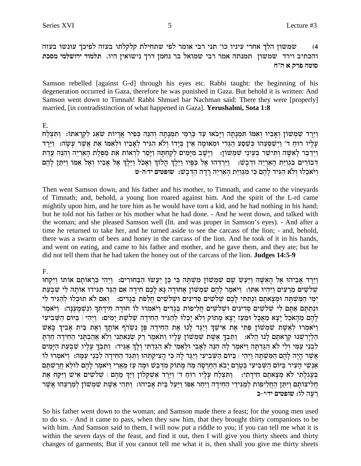שמשון הלך אחרי עיניו כו' תני רבי אומר לפי שתחילת קלקלתו בעזה לפיכך עונשו בעזה  $(4)$ והכתיב וירד שמשון תמנתה אמר רבי שמואל בר נחמן דרך נישואין היו. תלמוד ירושלמי מסכת סוטה פרק א ה״ח

Samson rebelled [against G-d] through his eyes etc. Rabbi taught: the beginning of his degeneration occurred in Gaza, therefore he was punished in Gaza. But behold it is written: And Samson went down to Timnah! Rabbi Shmuel bar Nachman said: There they were [properly] married, [in contradistinction of what happened in Gaza]. Yerushalmi, Sota 1:8

E.

וַיֵּרֵד שָׁמְשׁוֹן וְאַבְיו וְאִמּוֹ תִּמְנָתָה וַיָּבֹאוּ עַד כַּרְמֵי תִמְנָתָה וְהִנֵּה כִּפִיר אֲרַיוֹת שֹׂאֵג לְקְרָאתוֹ: וַתִּצְלַח עַלַיו רוּחַ ד׳ וַיְשָׁסְעָהוּ כְּשָׁסַע הַגְּדִי וּמְאוּמַה אֵין בְּיַדוֹ וְלֹא הִגְּיד לְאֲבִיו וּלְאִמּוֹ אֶת אֲשֶׁר עַשָׂה: וַיֵּרֵד וַיִּדְבֵר לַאַשָּׁה וַתִּישַׁר בִּעֵינֵי שַׁמְשׁוֹן: [וַיַּשַׁב מַיַּמִים לִקַחִתַּה וַיַּסַר לְרָאוֹת אֶת מַפִּלֶת הָאַרִיה וְהִנֵּה עַדַת דְבוֹרִים בְּגְוְיָת הָאֲרְיֶה וּדְבָשׁ: - וַיְרְדָהוּ אֶל כַּפִּיוּ וַיַּלֵךְ הָלוֹךְ וְאָכֹל וַיֵּלֵךְ אֶל אָבִיו וְאֵל אִמּוֹ וַיִּתֵּן לַהֶם וַיֹּאכֵלוּ וְלֹא הִגִּיד לָהָם כִּי מְגַוִיַּת הָאֲרִיָּה רַדָה הַדְּבַשׁ: שופטים יד:ה-ט

Then went Samson down, and his father and his mother, to Timnath, and came to the vineyards of Timnath; and, behold, a young lion roared against him. And the spirit of the L-rd came mightily upon him, and he tore him as he would have torn a kid, and he had nothing in his hand; but he told not his father or his mother what he had done. - And he went down, and talked with the woman; and she pleased Samson well (lit. and was proper in Samson's eyes). - And after a time he returned to take her, and he turned aside to see the carcass of the lion; - and, behold, there was a swarm of bees and honey in the carcass of the lion. And he took of it in his hands, and went on eating, and came to his father and mother, and he gave them, and they ate; but he did not tell them that he had taken the honey out of the carcass of the lion. Judges 14:5-9

F.

וַיֵּרֶד אֲבִיהוּ אֶל הָאִשָּׁה וַיַּעַשׂ שָׁם שְׁמְשׁוֹן מִשְׁתֵּה כִּי כֵּן יַעֲשׂוּ הַבָּחוּרִים: וַיִּהְי כִּרְאוֹתַם אוֹתוֹ וַיִּקְחוּ שלשים מרעים ויהיו אתו: ויאמר להם שמשון אחודה נא לכם חידה אם הגד תגידו אותה לי שבעת ימי המשתה ומצאתם ונתתי לכם שלשים סדינים ושלשים חלפת בגדים: נאם לא תוכלו להגיד לי ונתתם אתם לי שלשים סדינים ושלשים חליפות בגדים ויאמרו לו חודה חידתר ונשמענה: ויאמר לְהֵם מֶהָאֹכֶל יַצָא מָאֲכָל וּמֶעַז יַצָא מַתוֹק וִלֹא יַכְלוּ לְהַגִּיד הַחִידַה שָׁלֹשֶׁת יַמִים: וַיִּהִי | בִּיּוֹם הַשִּׁבִיעִי ויאמרו לאשת שמשון פתי את אישר ויגד לנו את החידה פן נשרף אותר ואת בית אביך באש הלירשנו קראתם לנו הלא: נתבך אשת שמשון עליו ותאמר רק שנאתני ולא אהבתני החידה חדת לְבְנֵי עַמִּי וְלִי לֹא הִגַּדְחַה וַיֹּאמֵר לַהְ הִנֵּה לְאֲבִי וּלְאמִי לֹא הִגַּדְחִי וְלֹךְ אֲגִיד: וַחִּבְךָ עַלְיו שַׁבְעַת הַיַּמִים אֵשֶׁר הַיָּה לַהֶם הַמִּשְׁתֵּה וַיִּהִי | בִּיּוֹם הַשִּׁבִיעִי וַיַּגֵּד לַה כִּי הֵצִיקַתְהוּ וַתַּגֵּד הַחִידָה לִבְנֵי עַמֲהּ: וַיֹּאמְרוּ לוֹ אַנְשֵׁי הָעִיר בַּיּוֹם הַשִּׁבִיעִי בִּטֵרֵם יַבֹא הַחַרְסָה מַה מַתוֹק מִדִּבָשׁ וּמֵה עַז מֵאֲרִי וַיֹּאמֵר לַהֶם לוּלֵא חֲרַשְׁתֵּם בְּעֶגְלְחִי לֹא מְצָאתֶם חִידְחִי: וַחִצְלַח עָלְיו רוּחַ ד׳ וַיֵּרֶד אַשְקְלוֹן וַיַּךְ מֵהֶם | שְלֹשִׁים אִישׁ וַיִּקְח אֶת חֲלִיצוֹתַם וַיִּתֵּן הַחֲלִיפוֹת לְמַגִּידֵי הַחִידַה וַיִּחַר אַפּוֹ וַיַּעַל בֵּית אַבִיהוּ: וַתְּהִי אֵשֶׁת שִׁמְשׁוֹן לְמֶרֶעֶהוּ אֲשֶׁר רעה לו: שופטים ידוי-כ

So his father went down to the woman; and Samson made there a feast; for the young men used to do so. - And it came to pass, when they saw him, that they brought thirty companions to be with him. And Samson said to them, I will now put a riddle to you; if you can tell me what it is within the seven days of the feast, and find it out, then I will give you thirty sheets and thirty changes of garments; But if you cannot tell me what it is, then shall you give me thirty sheets

5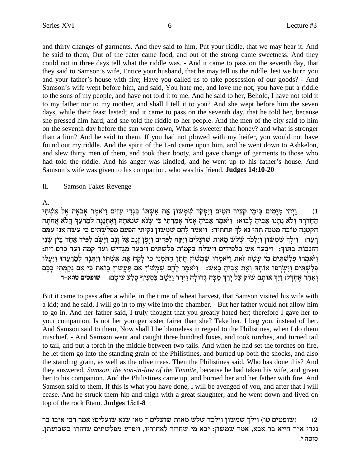and thirty changes of garments. And they said to him, Put your riddle, that we may hear it. And he said to them, Out of the eater came food, and out of the strong came sweetness. And they could not in three days tell what the riddle was. - And it came to pass on the seventh day, that they said to Samson's wife, Entice your husband, that he may tell us the riddle, lest we burn you and your father's house with fire; Have you called us to take possession of our goods? - And Samson's wife wept before him, and said, You hate me, and love me not; you have put a riddle to the sons of my people, and have not told it to me. And he said to her, Behold, I have not told it to my father nor to my mother, and shall I tell it to you? And she wept before him the seven days, while their feast lasted; and it came to pass on the seventh day, that he told her, because she pressed him hard; and she told the riddle to her people. And the men of the city said to him on the seventh day before the sun went down, What is sweeter than honey? and what is stronger than a lion? And he said to them, If you had not plowed with my heifer, you would not have found out my riddle. And the spirit of the L-rd came upon him, and he went down to Ashkelon, and slew thirty men of them, and took their booty, and gave change of garments to those who had told the riddle. And his anger was kindled, and he went up to his father's house. And Samson's wife was given to his companion, who was his friend. **Judges 14:10-20**

II. Samson Takes Revenge

A.

iY¶ Wß `¶ l`§ d`®oa`® xn§ `oIe© miG¶ r¶ ic¶bß A¶ FYWß `¶ z`§ oFWnß W¶ cowtß I¶e© miH¶ g¶ xiv¶ wß in• iA¶ min¶ I®n¶ id¶ iße© (1 הֶחֶדְרָה וְלֹא נְתְנוֹ אָבִיהָ לְבוֹא: נֵיֹּאמֶר אָבִיהָ אָמֹר אָמַרְתִּי כִּי שָנֹא שִׂנֵאתָהּ וָאֶתְּנֶנָּה לִמֵרֵעֶךְ הַלֹּא אַחֹתַּה הַקְטַנַּה טוֹבָה מְמֵנַּה תְּהִי נַא לְךָ תַּחִתֵּיהַ:  $\,$ וְיֹּאמֶר לַהֶם שְׁמְשׁוֹן נִקֵיתִי הַפַּעַם מִפְּלְשָׁתִּים כִּי עֹשֶׂה אֲנִי עִמַּם בְעֲה: [יֵלֵךְ שֶׁמַשׁוֹן וַיִּלְכֹּד שִׁלְשׁ מֵאוֹת שׁוּעֲלִים וַיִּקַח לְפִּדים וַיִּפַן זַנַּב אֲל זַנַּב וַיַּשֵׂם לִפִּיד אַחָד בֵּין שַׁנֵי :zi¶f® mx§M§ cr© eß dn® w® cr© eß Wic¶B®n¶ xr• aß I©e© miY¶ Wß l¶ Rß zFnw® Aß gN© W© iße© mic¶iR¶ N© A© W`• xr§ aß I©e© :Ke§Y® A© zFap®Gß d© וַיֹּאמְרוּ פִלְשָׁתִּים מִי עַשָׂה זֹאת וַיֹּאמְרוּ שִׁמְשׁוֹן חֲתַן הַתִּמְנִי כִּי לַקֵח אֶת אִשְׁתּוֹ וַיִּתְנָהּ לְמֵרֵעֵהוּ וַיַּעֲלוּ פִלְשָׁתִּים וַיִּשְׂרִפוּ אוֹתַה וְאֵת אֲבִיהָ בַּאֲשׁ: ` וַיֹּאמֶר לַהֶם שִׁמְשׁוֹן אִם תַּעֲשׂוּן כַּזֹאת כִּי אִם נִקְמְתִּי בַכֵם **g-`:eh mihtey** :mh® ir• rl© q§ sir¶ qß A¶ aW§ I•e© cx§I•e© dl®Fcbß dM® n© Kx•i® lr© wFW mz® F` KI©e© :lC®gß `§ xg© `© eß

But it came to pass after a while, in the time of wheat harvest, that Samson visited his wife with a kid; and he said, I will go in to my wife into the chamber. - But her father would not allow him to go in. And her father said, I truly thought that you greatly hated her; therefore I gave her to your companion. Is not her younger sister fairer than she? Take her, I beg you, instead of her. And Samson said to them, Now shall I be blameless in regard to the Philistines, when I do them mischief. - And Samson went and caught three hundred foxes, and took torches, and turned tail to tail, and put a torch in the middle between two tails. And when he had set the torches on fire, he let them go into the standing grain of the Philistines, and burned up both the shocks, and also the standing grain, as well as the olive trees. Then the Philistines said, Who has done this? And they answered, *Samson, the son-in-law of the Timnite*, because he had taken his wife, and given her to his companion. And the Philistines came up, and burned her and her father with fire. And Samson said to them, If this is what you have done, I will be avenged of you, and after that I will cease. And he struck them hip and thigh with a great slaughter; and he went down and lived on top of the rock Etam. **Judges 15:1-8**

שופטים טו) וילך שמשון וילכד שלש מאות שועלים ־ מאי שנא שועלים? אמר רבי איבו בר (2 נגדי א״ר חייא בר אבא, אמר שמשון: יבא מי שחוזר לאחוריו, ויפרע מפלשתים שחזרו בשבועתן. **סוטה י.**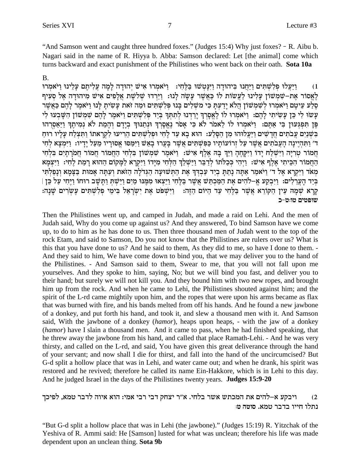"And Samson went and caught three hundred foxes." (Judges 15:4) Why just foxes? - R. Aibu b. Nagari said in the name of R. Hiyya b. Abba: Samson declared: Let [the animal] come which turns backward and exact punishment of the Philistines who went back on their oath. Sota 10a

### **B.**

וַיַּעֲלוּ פִלְשָׁתִּים וַיַּחֲנוּ בִּיהוּדָה וַיִּנַּטְשׁוּ בַּלֵּחָי: | וַיֹּאמִרוּ אִישׁ יְהוּדַה לַמַה עֲלִיתָם עַלֵינוּ וַיֹּאמִרוּ  $(1)$ לֵאֵסוֹר אֶת-שַׁמְשׁוֹן עַלִינוּ לַעֲשׂוֹת לוֹ כַּאֲשֶׁר עַשָׂה לְנוּ: וַיֵּרְדוּ שִׁלֹשֶׁת אֲלָפִים אִישׁ מִיהוּדָה אֶל סְעִיף סֶלַע עֵיטָם וַיֹּאמְרוּ לְשִׁמְשׁוֹן הֲלֹא יָדַעְתָּ כִּי מֹשִׁלִים בָּנוּ פִּלְשָׁתִּים וּמַה זֹאת עָשִׂיתַ לַנוּ וַיֹּאמֵר לַהֵם כַּאֲשֵׁר עֲשוּ לִי כֵּן עַשִׂיתִי לַהֵם: וַיֹּאמְרוּ לוֹ לֵאֵסָרְךָ יַרַדְנוּ לְתִתְךָ בְיַד פִּלְשָׁתִּים וַיֹּאמֶר לַהֶם שָׁמְשׁוֹן הִשָּׁבְעוּ לִי פַּן תּפְגַעוּן בִי אַתְם: וַיֹּאמרוּ לוֹ לָאמֹר לֹא כִּי אָסֹר נַאֲסַרְךָ וּנְתְנוּךְ בְיַדָם וְהָמֶת לֹא נְמִיתֶךְ וַיַּאֲסִרְהוּ בשנים עבתים חדשים ויעלוהו מן הסלע: הוא בא עד לחי ופלשתים הריעו לקראתו ותצלח עליו רוח ד׳ וַתְּהִיֵינָה הַעֲבֹתִים אֲשֶׁר עַל זְרוֹעוֹתֵיו כַּפְּשֶׁתִּים אֲשֶׁר בַּעֲרוּ בַאֲשׁ וַיִּמַסוּ אֵסוּרֵיו מֵעֲל יַדִיוּ: וַיִּמְצֵא לְחָי חמור טריה וישלח ידו ויקחה ויך בה אלף איש: ויאמר שמשון בלחי החמור חמור חמרתים בלחי הַחֲמוֹר הַכֵּיתִי אֲלֵף אִישׁ: וַיְהִי כִּכְלֹתוֹ לְדַבֵּר וַיַּשְׁלֵךְ הַלִּחִי מַיַּדוֹ וַיִּקְרָא לַמֲקוֹם הַהוּא רַמַת לָחָי: וַיִּצְמַא מְאֹד וַיִּקְרָא אֱל ד' וַיֹּאמַר אַתָּה נַתַּתַּ בְיַד עַבְדֶךְ אֶת הַתְּשׁוּעָה הַגִּדלָה הַזֹּאת וְעַתַּה אָמוּת בַּצַּמָא וְנַפַלְתִּי בְּיַד הַעֲרְלִים: וַיִּבְקַע אֵ–לֹהִים אֶת הַמַּכְתְּשׁ אֲשֶׁר בַּלְחִי וַיַּצָאוּ מִמֵּנוּ מַיִם וַיִּשֶׁת וַתְּשֶׁב רוּחוֹ וַיִּחִי עַל כֵּן | קרא שמה עין הקורא אַשר בַּלֵחִי עַד הַיּוֹם הַזֶּה: וַיִּשְׁפֹּט אֶת יִשְׂרָאֵל בִּימֵי פִלְשְׁתִּים עַשְׂרִים שַׁנַה: שופטים טו:ט-כ

Then the Philistines went up, and camped in Judah, and made a raid on Lehi. And the men of Judah said, Why do you come up against us? And they answered, To bind Samson have we come up, to do to him as he has done to us. Then three thousand men of Judah went to the top of the rock Etam, and said to Samson, Do you not know that the Philistines are rulers over us? What is this that you have done to us? And he said to them, As they did to me, so have I done to them. -And they said to him, We have come down to bind you, that we may deliver you to the hand of the Philistines. - And Samson said to them, Swear to me, that you will not fall upon me yourselves. And they spoke to him, saying, No; but we will bind you fast, and deliver you to their hand; but surely we will not kill you. And they bound him with two new ropes, and brought him up from the rock. And when he came to Lehi, the Philistines shouted against him; and the spirit of the L-rd came mightily upon him, and the ropes that were upon his arms became as flax that was burned with fire, and his bands melted from off his hands. And he found a new jawbone of a donkey, and put forth his hand, and took it, and slew a thousand men with it. And Samson said, With the jawbone of a donkey *(hamor)*, heaps upon heaps, - with the jaw of a donkey (hamor) have I slain a thousand men. And it came to pass, when he had finished speaking, that he threw away the jawbone from his hand, and called that place Ramath-Lehi. - And he was very thirsty, and called on the L-rd, and said, You have given this great deliverance through the hand of your servant; and now shall I die for thirst, and fall into the hand of the uncircumcised? But G-d split a hollow place that was in Lehi, and water came out; and when he drank, his spirit was restored and he revived; therefore he called its name Ein-Hakkore, which is in Lehi to this day. And he judged Israel in the days of the Philistines twenty years. **Judges 15:9-20** 

### ויבקע א–להים את המכתש אשר בלחי. א"ר יצחק דבי רבי אמי: הוא איוה לדבר טמא, לפיכך  $(2)$ נתלו חייו בדבר טמא. סוטה ט:

"But G-d split a hollow place that was in Lehi (the jawbone)." (Judges 15:19) R. Yitzchak of the Yeshiva of R. Ammi said: He [Samson] lusted for what was unclean; therefore his life was made dependent upon an unclean thing. Sota 9b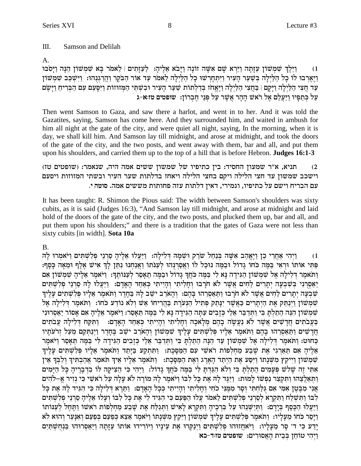#### Ш. Samson and Delilah

### $A<sub>1</sub>$

וַיֵּלֵךְ שַׁמְשׁוֹן עַזְתָה וַיַּרֹא שַׁם אַשָּׁה זוֹנָה וַיַּבֹא אֲלֵיהָ: לַעֲזַתִים | לֵאמֹר בַּא שַׁמְשׁוֹן הֵנָּה וַיַּסֹבּוּ  $(1)$ וַיַּאֲרְבוּ לוֹ כָל הַלְיָלָה בִּשַּׁעַר הַעִּיר וַיִּתְחַרְשׁוּ כָל הַלַּיְלָה לָאמֹר עַד אוֹר הַבֹּקֶר וַהַרְגנְהוּ: וַיִּשְׁכָּב שָׁמִשׁוֹן עַר חֲצִי הַלַּיָלָה וַיַּקָם | בַּחֲצִי הַלַּיְלַה וַיֵּאֱחֹז בְּדַלְתוֹת שַׁעַר הַעִּיר וּבְשָׁתֵּי הַמְּזוּזוֹת וַיִּסֵעֵם עִם הַבְּרִיחַ וַיַּשֵׂם על כתפיו ויעלם אל ראש ההר אשר על פני חברון: שופטים טו:א-ג

Then went Samson to Gaza, and saw there a harlot, and went in to her. And it was told the Gazatites, saying, Samson has come here. And they surrounded him, and waited in ambush for him all night at the gate of the city, and were quiet all night, saying, In the morning, when it is day, we shall kill him. And Samson lay till midnight, and arose at midnight, and took the doors of the gate of the city, and the two posts, and went away with them, bar and all, and put them upon his shoulders, and carried them up to the top of a hill that is before Hebron. **Judges 16:1-3** 

### תניא, א"ר שמעון החסיד: בין כתיפיו של שמשון ששים אמה היה, שנאמר: (שופטים טז)  $(2)$ וישכב שמשון עד חצי הלילה ויקם בחצי הלילה ויאחז בדלתות שער העיר ובשתי המזוזות ויסעם עם הבריח וישם על כתיפיו, וגמירי, דאין דלתות עזה פחותות מששים אמה. סוטה י.

It has been taught: R. Shimon the Pious said: The width between Samson's shoulders was sixty cubits, as it is said (Judges 16:3), "And Samson lay till midnight, and arose at midnight and laid hold of the doors of the gate of the city, and the two posts, and plucked them up, bar and all, and put them upon his shoulders;" and there is a tradition that the gates of Gaza were not less than sixty cubits [in width]. Sota 10a

 $\bf{B}$ 

ויהי אחרי כן ויאהב אשה בנחל שרק וּשׁמה דלילה: ויעלוּ אליה סרני פלשתים ויֹאמרוּ לה  $(1)$ פּתי אותו וראי במה כחו גדול ובמה נוכל לו ואסרנהו לענתו ואנחנו נתן לך איש אלף ומאה כסף: וַתֹּאמֶר דְלִילָה אֵל שִׁמְשׁוֹן הַגִּידָה נָא לִי בַּמֵּה כּחַךְ גָדוֹל וּבַמֵּה תֵאָסֶר לְעַנוֹתֵךְ: וַיֹּאמֶר אֵלֵיהָ שִׁמְשׁוֹן אִם יַאַסְרִנִי בְּשִׁבְעָה יְתָרִים לַחִים אֲשֶׁר לֹא חֹרְבוּ וְחָלִיתִי וְהָיִיתִי כִּאַחַד הָאָדָם: וַיַּעֲלוּ לַה סַרְנֵי פִלְשִׁתִּים שִׁבְעָה יְתַרִים לַחִים אֲשֶׁר לֹא חֹרַבוּ וַתַּאַסְרֶהוּ בַּהֶם: וְהָאֹרֶב ישֵׁב לַה בַּחֲדֶר וַתּאמֶר אֲלַיו פִּלְשָׁתִים עָלֵיךְ שִׁמְשׁוֹן וַיְנַתֵּק אֶת הַיְתַרִים כַּאֲשֶׁר יְנַתֵק פְּתִיל הַנִּעֹרֶת בַּהֲרִיחוֹ אֲשׁ וְלֹא נוֹדַע כֹּחוֹ: וַתּאמֶר דְלִילַה אֵל שִׁמְשׁוֹן הִנֶּה הָתַלְתָּ בִּי וַתְּדַבֵּר אֶלֵי כִּזְבִים עַתַּה הַגִּידָה נַא לִי בַּמֶּה תַּאֲסֶר: וַיֹּאמֶר אֲלֶיהָ אִם אַסוֹר יַאֲסְרוּנִי בַּעֲבֹתִים חֲדָשִׁים אֲשֶׁר לֹא נַעֲשָׂה בָהֶם מִלַאכָה וְחַלִיתִי וְהַיִּיתִי כְּאַחָד הָאַדָם: [וַתִּקַח דְלִילַה עֲבֹתִים חֲדָשִׁים וַתַּאֲסְרֵהוּ בָהֶם וַתֹּאמֶר אֲלָיו פִּלְשָׁתִּים עַלֵיךְ שִׁמְשׁוֹן וְהָאֹרֶב ישֶׁב בֵּחָדֶר וַיִּנַתְּקֵם מֵעֲל זְרֹעֹתַיו כַּחוּט: וַתֹּאמֶר דְלִילַה אֵל שִׁמְשׁוֹן עַד הֵנָּה הֶתַלְתַּ בִּי וַתְּדַבֵּר אֵלֵי כְּזָבִים הַגִּידַה לִי בַּמֶּה תַּאַסֶר וַיֹּאמֶר אֵלִיהַ אִם תַּאַרְגִי אֶת שֶׁבַע מַחַלְפוֹת רֹאשִׁי עִם הַמַּסָּכֶת: וַתְּתִקַע בַּיַּתֵד וַתְּאמֵר אָלְיו פִּלְשֶׁתִּים עַלֶיךָ שִׁמְשׁוֹן וַיִיקַץ מִשְׁנַתוֹ וַיִּסַע אֶת הַיִתַד הָאָרֶג וְאֶת הַמַּסַּכֶת: וַחֹּאמֶר אֲלֵיו אֵיךְ חֹאמֶר אֲהַבְתִּיךְ וְלִבְּךָ אֵין אתי זה שלש פעמים התלת בי ולא הגדת לי במה כחד גדול: ויהי כי הציקה לו בדבריה כל הימים וַתְּאָלֵצֶהוּ וַתְּקִצָּר נַפְשׁוֹ לַמוּת: וַיַּגֵּד לַהְ אֶת כַּל לְבוֹ וַיֹּאמֶר לַה מוֹרַה לֹא עַלַה עַל רֹאשִׁי כִּי נִזְיר אֱ–לֹהִים אֵנִי מִבְּטֵן אִמִּי אִם גִּלַחְתִּי וְסַר מִמְּנִי כֹחֵי וְחַלִיתִי וְהַיִיתִי כְּכָל הַאֲדָם: וַתַּרֵא דִּלִילַה כִּי הִגִּיד לַהּ אֶת כָּל לְבוֹ וַתְּשָׁלָח וַתִּקְרָא לְסָרְנֵי פְלְשָׁתִּים לֵאמֹר עֲלוּ הַפַּעַם כִּי הִגִּיד לִי אֶת כָּל לְבּוֹ וְעַלוּ אֲלֵיהָ סַרְנֵי פִלְשָׁתִּים וַיַּעֲלוּ הַכֶּסֶף בְּיָדָם: וַתְּיַשְׁנֵהוּ עַל בִּרְכֶיהָ וַתִּקְרָא לָאִישׁ וַתְּגַלַּח אֶת שֵׁבַע מַחִלְפוֹת ראשו וַתַּחֵל לְעַנּוֹתוֹ וַיַּסַר כֹּחוֹ מֵעֲלֵיו: וַתֹּאמֶר פִּלְשָׁתִּים עַלֵיךְ שָׁמְשׁוֹן וַיִּקֵץ מִשְּׁנַתוֹ וַיֹּאמֵר אֲצֵא כִפַּעַם בִּפַּעַם וְאִנַּעֵר וְהוּא לֹא יַדַע כִּי ד׳ סָר מֵעָלַיו: וַיֹּאחֲזוּהוּ פִלְשָׁתִּים וַיִּנַקְרוּ אֶת עֵינַיו וַיּוֹרִידוּ אוֹתוֹ עַזָתָה וַיַּאֲסְרוּהוּ בַּנְחִשְׁתַּיִם ויהי טוחן בבית האסורים: שופטים טזוד-כא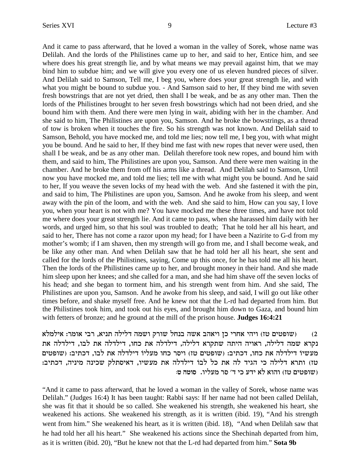And it came to pass afterward, that he loved a woman in the valley of Sorek, whose name was Delilah. And the lords of the Philistines came up to her, and said to her, Entice him, and see where does his great strength lie, and by what means we may prevail against him, that we may bind him to subdue him; and we will give you every one of us eleven hundred pieces of silver. And Delilah said to Samson, Tell me, I beg you, where does your great strength lie, and with what you might be bound to subdue you. - And Samson said to her, If they bind me with seven fresh bowstrings that are not yet dried, then shall I be weak, and be as any other man. Then the lords of the Philistines brought to her seven fresh bowstrings which had not been dried, and she bound him with them. And there were men lying in wait, abiding with her in the chamber. And she said to him, The Philistines are upon you, Samson. And he broke the bowstrings, as a thread of tow is broken when it touches the fire. So his strength was not known. And Delilah said to Samson, Behold, you have mocked me, and told me lies; now tell me, I beg you, with what might you be bound. And he said to her, If they bind me fast with new ropes that never were used, then shall I be weak, and be as any other man. Delilah therefore took new ropes, and bound him with them, and said to him, The Philistines are upon you, Samson. And there were men waiting in the chamber. And he broke them from off his arms like a thread. And Delilah said to Samson, Until now you have mocked me, and told me lies; tell me with what might you be bound. And he said to her, If you weave the seven locks of my head with the web. And she fastened it with the pin, and said to him, The Philistines are upon you, Samson. And he awoke from his sleep, and went away with the pin of the loom, and with the web. And she said to him, How can you say, I love you, when your heart is not with me? You have mocked me these three times, and have not told me where does your great strength lie. And it came to pass, when she harassed him daily with her words, and urged him, so that his soul was troubled to death; That he told her all his heart, and said to her, There has not come a razor upon my head; for I have been a Nazirite to G-d from my mother's womb; if I am shaven, then my strength will go from me, and I shall become weak, and be like any other man. And when Delilah saw that he had told her all his heart, she sent and called for the lords of the Philistines, saying, Come up this once, for he has told me all his heart. Then the lords of the Philistines came up to her, and brought money in their hand. And she made him sleep upon her knees; and she called for a man, and she had him shave off the seven locks of his head; and she began to torment him, and his strength went from him. And she said, The Philistines are upon you, Samson. And he awoke from his sleep, and said, I will go out like other times before, and shake myself free. And he knew not that the L-rd had departed from him. But the Philistines took him, and took out his eyes, and brought him down to Gaza, and bound him with fetters of bronze; and he ground at the mill of the prison house. **Judges 16:4:21**

שופטים טז) ויהי אחרי כז ויאהב אשה בנחל שורק ושמה דלילה תניא, רבי אומר: אילמלא (2 $\,$ נקרא שמה דלילה, ראויה היתה שתקרא דלילה, דילדלה את כחו, דילדלה העת לבו, דילדלה את מעשיו דילדלה את כחו, דכתיב: (שופטים טז) ויסר כחו מעליו דילדלה את לבו, דכתיב: (שופטים טז) ותרא דלילה כי הגיד לה את כל לבו דילדלה את מעשיו, דאיסתלק שכינה מיניה, דכתיב: : שופטים טז) והוא לא ידע כי ד׳ סר מעליו. סוטה ט

"And it came to pass afterward, that he loved a woman in the valley of Sorek, whose name was Delilah." (Judges 16:4) It has been taught: Rabbi says: If her name had not been called Delilah, she was fit that it should be so called. She weakened his strength, she weakened his heart, she weakened his actions. She weakened his strength**,** as it is written (ibid. 19), "And his strength went from him." She weakened his heart**,** as it is written (ibid. 18), "And when Delilah saw that he had told her all his heart." She weakened his actions since the Shechinah departed from him, as it is written (ibid. 20), "But he knew not that the L-rd had departed from him."**Sota 9b**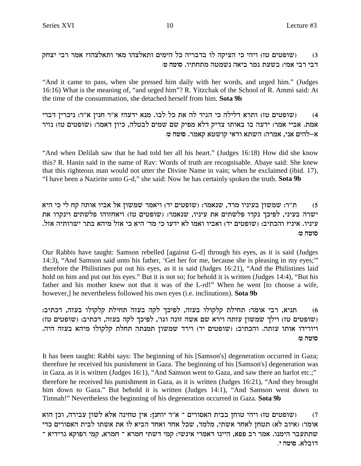(שופטים טז) ויהי כי הציקה לו בדבריה כל הימים ותאלצהו מאי ותאלצהו? אמר רבי יצחק  $(3)$ דבי רבי אמי: בשעת גמר ביאה נשמטה מתחתיו. סוטה ט:

"And it came to pass, when she pressed him daily with her words, and urged him." (Judges 16:16) What is the meaning of, "and urged him"? R. Yitzchak of the School of R. Ammi said: At the time of the consummation, she detached herself from him. Sota 9b

(שופטים טז) ותרא דלילה כי הגיד לה את כל לבו. מנא ידעה? א"ר חנין א"ר: ניכרין דברי  $(4)$ אמת. אביי אמר: ידעה בו באותו צדיק דלא מפיק שם שמים לבטלה, כיון דאמר: (שופטים טז) נזיר א–להים אני, אמרה: השתא ודאי קושטא קאמר. סוטה ט:

"And when Delilah saw that he had told her all his heart." (Judges 16:18) How did she know this? R. Hanin said in the name of Rav: Words of truth are recognisable. Abaye said: She knew that this righteous man would not utter the Divine Name in vain; when he exclaimed (ibid. 17), "I have been a Nazirite unto G-d," she said: Now he has certainly spoken the truth. Sota 9b

ת"ר: שמשון בעיניו מרד, שנאמר: (שופטים יד) ויאמר שמשון אל אביו אותה קח לי כי היא  $(5)$ ישרה בעיני, לפיכך נקרו פלשתים את עיניו, שנאמר: (שופטים טז) ויאחזוהו פלשתים וינקרו את עיניו. איני? והכתיב: (שופטים יד) ואביו ואמו לא ידעו כי מד׳ היא כי אזל מיהא בתר ישרותיה אזל. סוטה ט:

Our Rabbis have taught: Samson rebelled [against G-d] through his eyes, as it is said (Judges 14:3), "And Samson said unto his father, 'Get her for me, because she is pleasing in my eyes;" therefore the Philistines put out his eyes, as it is said (Judges 16:21), "And the Philistines laid hold on him and put out his eyes." But it is not so; for behold it is written (Judges 14:4), "But his father and his mother knew not that it was of the L-rd!" When he went [to choose a wife, however, he nevertheless followed his own eyes (*i.e.* inclinations). **Sota 9b** 

תניא, רבי אומר: תחילת קלקולו בעזה, לפיכך לקה בעזה תחילת קלקולו בעזה, דכתיב:  $(6)$ (שופטים טז) וילך שמשון עזתה וירא שם אשה זונה וגו', לפיכך לקה בעזה, דכתיב: (שופטים טז) ויורידו אותו עזתה. והכתיב: (שופטים יד) וירד שמשון תמנתה תחלת קלקולו מיהא בעזה היה. סוטה ט:

It has been taught: Rabbi says: The beginning of his [Samson's] degeneration occurred in Gaza; therefore he received his punishment in Gaza. The beginning of his [Samson's] degeneration was in Gaza, as it is written (Judges 16:1), "And Samson went to Gaza, and saw there an harlot etc.;" therefore he received his punishment in Gaza, as it is written (Judges 16:21), "And they brought him down to Gaza." But behold it is written (Judges 14:1), "And Samson went down to Timnah!" Nevertheless the beginning of his degeneration occurred in Gaza. Sota 9b

וכן הוא (שופטים טז) ויהי טוחן בבית האסורים ־ א"ר יוחנן: אין טחינה אלא לשון עבירה, וכן הוא  $(7)$ אומר: (איוב לא) תטחן לאחר אשתי, מלמד, שכל אחד ואחד הביא לו את אשתו לבית האסורים כדי שתתעבר הימנו. אמר רב פפא, היינו דאמרי אינשי: קמי דשתי חמרא ־ חמרא, קמי רפוקא גרידיא ־ דובלא. סוטה י.

10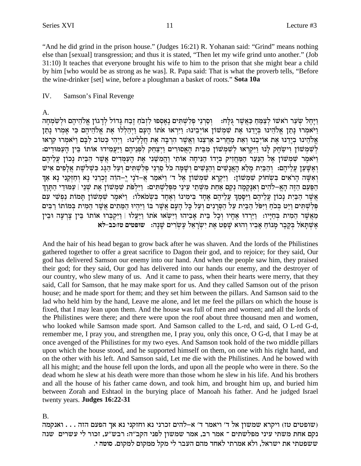"And he did grind in the prison house." (Judges 16:21) R. Yohanan said: "Grind" means nothing else than [sexual] transgression; and thus it is stated, "Then let my wife grind unto another." (Job 31:10) It teaches that everyone brought his wife to him to the prison that she might bear a child by him [who would be as strong as he was]. R. Papa said: That is what the proverb tells, "Before" the wine-drinker [set] wine, before a ploughman a basket of roots." Sota 10a

#### IV. Samson's Final Revenge

### $A_{\cdot}$

וַיַּחֵל שַׂעֲר רֹאשׁוֹ לִצָמֶּחַ כַּאֲשֶׁר גִּלַּח: וַסְרְנֵי פִלְשָׁתִּים נֵאֲסִפּוּ לְזְבֹחַ זֶבָח גַּדוֹל לְדַגוֹן אֱלֹהֵיהֶם וּלְשִׂמְחָה וַיֹּאמְרוּ נַתַן אֱלֹהֵינוּ בְּיֵדְנוּ אֶת שְׁמְשׁוֹן אוֹיְבֵינוּ: וַיִּרְאוּ אֹתוֹ הַעֲם וַיִּהַלְלוּ אֶת אֱלֹהֵיהֶם כִּי אָמְרוּ נַתַן אֱלֹהֵינוּ בְיַדֵנוּ אֶת אוֹיְבֶנוּ וְאֶת מַחֲרִיב אַרְצֶנוּ וְאֲשֶׁר הַרְבָּה אֶת חֲלָלֵינוּ: וַיְהִי כְּטוֹב לְבָּם וַיֹּאמְרוּ קִרְאוּ לְשָׁמְשׁוֹן וִישָׂחָק לְנוּ וַיִּקְרָאוּ לְשָׁמְשׁוֹן מִבִּית הַאֲסוּרִים וַיִּצְחָק לְפִנִיהֶם וַיַּעֲמִידוּ אוֹתוֹ בֵּין הַעַמּוּדִים: וַיֹּאמַר שַׁמַשׁוֹן אֵל הַנַּעַר הַמַּחזיק בַּיַדוֹ הַנִּיחַה אוֹתי וַהַמַּשֵׁנִי אֶת הַעַמַּדים אֲשֶׁר הַבַּיִת נַכוֹן עֲלֵיהֶם ואַשֵּׁעַן עֲלֵיהֵם: וְהַבֵּיָת מַלָּא הָאֲנָשִׁים וְהַנַּשִׁים וְשַׁמַּה כֹּל סַרְנֵי פְלְשַׁתִּים וְעַל הַגַּג כְּשָׁלִשֶׁת אֲלָפִים אִיש וְאִשָּׁה הַרֹאִים בִּשְׂחוֹק שִׁמְשׁוֹן: וַיִּקְרָא שִׁמְשׁוֹן אֶל ד׳ וַיֹּאמַר אֲ–דֹנָי יֶ–הוֹה זָכְרֵנִי נָא וְחַזְקָנִי נָא אַךְ הַפַּעַם הַזֶּה הָאֵ–לֹהִים וְאִנַּקְמַה נְקַם אַחַת מִשְׁתֵי עֵינֵי מִפְּלְשָׁתִּים: וַיִּלְפֹּת שִׁמְשׁוֹן אֶת שִׁנֵי | עַמּוּדֵי הַתַּוֵךְ אֵשֶׁר הַבִּיָת נַכוֹן עֲלֵיהֶם וַיִּסַּמֶךְ עֲלֵיהֶם אֶחָד בִּימִינוֹ וְאֶחָד בְּשִׂמֹאלוֹ: וַיֹּאמֶר שִׁמְשׁוֹן תַּמוֹת נַפְשִׁי עִם פְּלְשָׁתִּים וַיֵּט בְּכֹחַ וַיִּפֹּל הַבְּיָת עַל הַסְרַנִים וְעַל כָּל הַעָם אֲשֶׁר בּוֹ וַיְּהִיוּ הַמֵּתִים אֲשֶׁר הַמִית בְּמוֹתוֹ רַבִּים מַאֲשֶׁר הֶמִית בְּחַיַּיו: וַיֵּרְדוּ אֶחָיו וְכָל בֵּית אַבְיהוּ וַיִּשָׂאוּ אֹתוֹ וַיַּעֲלוּ | וַיִּקְבְּרוּ אוֹתוֹ בֵּין צַרְעַה וּבֵין אַשִׁתַּאל בַּקֶבֶר מַנוֹחַ אַבִיו וְהוּא שַׁפַּט אַת יִשְרָאֵל עַשְׂרִים שַׁנַה: שופטים טזוכב-לא

And the hair of his head began to grow back after he was shaven. And the lords of the Philistines gathered together to offer a great sacrifice to Dagon their god, and to rejoice; for they said, Our god has delivered Samson our enemy into our hand. And when the people saw him, they praised their god; for they said, Our god has delivered into our hands our enemy, and the destroyer of our country, who slew many of us. And it came to pass, when their hearts were merry, that they said, Call for Samson, that he may make sport for us. And they called Samson out of the prison house; and he made sport for them; and they set him between the pillars. And Samson said to the lad who held him by the hand, Leave me alone, and let me feel the pillars on which the house is fixed, that I may lean upon them. And the house was full of men and women; and all the lords of the Philistines were there; and there were upon the roof about three thousand men and women, who looked while Samson made sport. And Samson called to the L-rd, and said, O L-rd G-d, remember me, I pray you, and strengthen me, I pray you, only this once, O G-d, that I may be at once avenged of the Philistines for my two eyes. And Samson took hold of the two middle pillars upon which the house stood, and he supported himself on them, on one with his right hand, and on the other with his left. And Samson said, Let me die with the Philistines. And he bowed with all his might; and the house fell upon the lords, and upon all the people who were in there. So the dead whom he slew at his death were more than those whom he slew in his life. And his brothers and all the house of his father came down, and took him, and brought him up, and buried him between Zorah and Eshtaol in the burying place of Manoah his father. And he judged Israel twenty years. Judges 16:22-31

### **B.**

יקרא שמשון אל ד' ויאמר ד' א-להים זכרני נא וחזקני נא אך הפעם הזה . . . ואנקמה (שופטים טז נקם אחת משתי עיני מפלשתים ־ אמר רב, אמר שמשון לפני הקב״ה: רבש״ע, זכור לי עשרים שנה ששפטתי את ישראל, ולא אמרתי לאחד מהם העבר לי מקל ממקום למקום. סוטה י.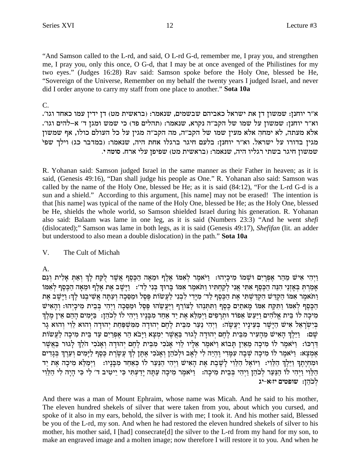"And Samson called to the L-rd, and said, O L-rd G-d, remember me, I pray you, and strengthen me, I pray you, only this once, O G-d, that I may be at once avenged of the Philistines for my two eyes." (Judges 16:28) Rav said: Samson spoke before the Holy One, blessed be He, "Sovereign of the Universe, Remember on my behalf the twenty years I judged Israel, and never did I order anyone to carry my staff from one place to another."**Sota 10a**

## C.

.'ר יוחנן: שמשון דן את ישראל כאביהם שבשמים, שנאמר: (בראשית מט) דן ידין עמו כאחד וגו' . וא״ר יוחנן: שמשון על שמו של הקב״ה נקרא, שנאמר: (תהלים פד) כי שמש ומגן ד׳ א–להים וגו׳. אלא מעתה, לא ימחה אלא מעין שמו של הקב"ה, מה הקב"ה מגין על כל העולם כולו, אף שמשון מגין בדורו על ישראל. וא"ר יוחנן: בלעם חיגר ברגלו אחת היה, שנאמר: (במדבר כג) וילך שפי .<br>שמשון חיגר בשתי רגליו היה, שנאמר: (בראשית מט) שפיפן עלי ארח. סוטה *י* 

R. Yohanan said: Samson judged Israel in the same manner as their Father in heaven; as it is said, (Genesis 49:16), "Dan shall judge his people as One." R. Yohanan also said: Samson was called by the name of the Holy One, blessed be He; as it is said (84:12), "For the L-rd G-d is a sun and a shield." According to this argument, [his name] may not be erased! The intention is that [his name] was typical of the name of the Holy One, blessed be He; as the Holy One, blessed be He, shields the whole world, so Samson shielded Israel during his generation. R. Yohanan also said: Balaam was lame in one leg, as it is said (Numbers 23:3) "And he went *shefi* (dislocated);" Samson was lame in both legs, as it is said (Genesis 49:17), *Shefifan* (lit. an adder but understood to also mean a double dislocation) in the path."**Sota 10a**

## V. The Cult of Michah

A.

יִרְהִי אִישׁ מֱהַר אֶפְרַיִם וּשָׁמוֹ מִיכַיִהוּ: וַיֹּאמֶר לְאָמּוֹ אֶלֶף וּמֵאָה הַכֵּסֵף אֲשֶׁר לְקֵח לַךְ וְאַתְּ אַלְית וְגַם FO`¶ lß sq§ M§ d© d`® n• E sl§ `§ z`§ aW§ I®e© :'cl© ip¶ Aß KExA® FO`¶ xn§ `oYe© eiY¶ gß w© lß ip¶ `£ iY¶ `¶ sq§ M§ d© dP•d¶ ip©fß `® Aß Yß xßn© `® z`§ aW§ I®e© :Kl® EPa§ iW¶ `£ dY® r© eß dk® Q• n© E lq§ R§ zFoyr£ l© ip¶ aß l¶ ic¶I®n¶ 'cl© sq§ M§ d© z`§ iY¶ Wß C©wß d¶ WC•wß d© FO`¶ xn§ `oYe© הכסף לאמו ותקח אמו מאתים כסף ותתנהו לצורף ויעשהו פסל ומסכה ויהי בבית מיכיהו: והאיש מִיכָה לו בֵּית אֱלֹהִים וַיַּעֲשׂ אֵפוֹד וּתְרַפִּים וַיִּמַלֵּא אֶת יַד אַחַד מִבְּנָיו וַיִּהִי לוֹ לְכֹהֵן: בַּיַּמִים הָהֶם אֵין מֵלֵךְ בִּיְשְׂרָאֵל אִישׁ הַיַּשָׁר בְּעֵינַיו יַעֲשֶׂה: וַיִּהִי נַעֲר מִכֵּית לָהֵם יְהוּדָה מְמִשְׁפָּחַת יְהוּדַה וְהוּא לְוִי וְהוּא גַר שֵם: [יֵּלֵךְ הָאִישׁ מֶהַעִּיר מִבֵּית לָחֶם יְהוּדָה לַגוּר בַּאֲשֶׁר יִמְצָא וַיַּבֹא הַר אָפְרֵים עַד בֵּית מִיכָה לַעֲשׂוֹת דרכו: ויאמר לו מיכה מאין תבוא ויאמר אליו לוי אנכי מבית לחם יהודה ואנכי הלד לגור באשר אַמְצַא: וַיֹּאמֵר לוֹ מִיכָה שִׁבָה עִמַּדִי וֵהְיֵה לִי לְאָב וּלְכֹהֶן וְאָנֹכִי אֶתֵּן לְךָ עֲשֶׂרֵת כֵּסֵף לַיַּמִים וְעָרֵךְ בְּגַדִים וּמְחִיַּתֵךְ וַיֵּלֵךְ הַלֵּוִי: וַיּוֹאֵל הַלֵּוִי לַשֶּׁבֶת אֶת הָאִישׁ וַיִּהִי הַנַּעַר לוֹ כִּאַחַד מִבְּנִיו: וַיִּמַלֵּא מִיכָה אֶת יַד הַלֵּוִי וַיִּהִי לוֹ הַנַּעַר לִכֹהֵן וַיִּהִי בִּבֵית מִיכָה: [יֹאמֵר מִיכָה עַתָּה יָרַעִת יִכִּי יִיטִיב ד לכהו: שופטים יז:א-יג

And there was a man of Mount Ephraim, whose name was Micah. And he said to his mother, The eleven hundred shekels of silver that were taken from you, about which you cursed, and spoke of it also in my ears, behold, the silver is with me; I took it. And his mother said, Blessed be you of the L-rd, my son. And when he had restored the eleven hundred shekels of silver to his mother, his mother said, I [had] consecrate[d] the silver to the L-rd from my hand for my son, to make an engraved image and a molten image; now therefore I will restore it to you. And when he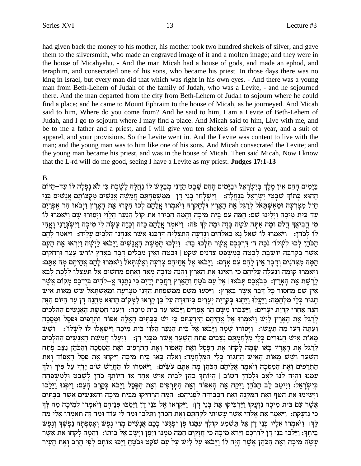had given back the money to his mother, his mother took two hundred shekels of silver, and gave them to the silversmith, who made an engraved image of it and a molten image; and they were in the house of Micahyehu. - And the man Micah had a house of gods, and made an ephod, and teraphim, and consecrated one of his sons, who became his priest. In those days there was no king in Israel, but every man did that which was right in his own eyes. - And there was a young man from Beth-Lehem of Judah of the family of Judah, who was a Levite, - and he sojourned there. And the man departed from the city from Beth-Lehem of Judah to sojourn where he could find a place; and he came to Mount Ephraim to the house of Micah, as he journeyed. And Micah said to him, Where do you come from? And he said to him, I am a Levite of Beth-Lehem of Judah, and I go to sojourn where I may find a place. And Micah said to him, Live with me, and be to me a father and a priest, and I will give you ten shekels of silver a year, and a suit of apparel, and your provisions. So the Levite went in. And the Levite was content to live with the man; and the young man was to him like one of his sons. And Micah consecrated the Levite; and the young man became his priest, and was in the house of Micah. Then said Micah, Now I know that the L-rd will do me good, seeing I have a Levite as my priest. **Judges 17:1-13**

### B.

בַּיַמִים הָהֶם אֵין מֵלֶךְ בִּיִשְׂרַאֵל וּבַיַּמִים הָהֶם שֵׁבֵט הַדֵּנִי מִבַקֵּשׁ לוֹ נַחֲלַה לַשֵּׁבֶת כִּי לֹא נַפְלַה לּוֹ עַד–הַיּוֹם הַהוּא בְּתוֹךְ שִׁבְטֵי יִשְׂרָאֵל בִּנְחֲלָה: וַיִּשְׁלְחוּ בְנֵי דַן | מִמְשִׁפְחִתַּם חֲמִשָּׁה אֲנָשִׁים מִקְצוֹתַם אֲנַשִּׁים בְּנֵי חיל מצרעה ומאשתאל לרגל את הארץ ולחקרה ויאמרו אלהם לכו חקרו את הארץ ויבאו הר אפרים עד בית מיכה וילינו שם: המה עם בית מיכה והמה הכירו את קול הנער הלוי ויסורו שם ויאמרו לו מִי הֵבִיאֵדּ הֵלֹם וּמַה אַתַּה עֹשֵׂה בַּזֵה וּמַה לִּךְ פֹה: [יֹאמֶר אֲלֵהֶם כָּזֹה וְכָזֶה עַשַׂה לִי מִיכָה וַיִּשְׂבְרִנִי וַאֲהִי לו לכהן: [יאמרו לו שאל נא באלהים ונדעה התצליח דרכנו אַשֶר אֲנַחְנוּ הלְכִים עָלֶיהָ: [יאמֶר לְהֶם הַכֹּהֵן לְכוּ לְשָׁלוֹ׳ נֹכַח ד׳ דַרְכִּכֵם אֲשֵׁר תֵּלְכוּ בָהּ: וַיֵּלְכוּ חַמֵשֶׁת הָאֲנָשִׁים וַיָּבֹאוּ לְיִשָׂה וַיִּרְאוּ אֶת הָעָם אֲשֶׁר בִּקְרַבַּה יוֹשֶׁבֶת לַבְטָח כִּמְשָׁפַּט צִדֹנִים שֹׁקֵט | וּבֹטֵחַ וְאֵין מַכְלִים דַּבַר בַּאֲרָץ יוֹרֵשׁ עֵצֶר וּרְחֹקִים הָמֶּה מְצִדוּנִים וְדַבְר אֵין לַהֶם עִם אַדָם: "וַיָּבֹאוּ אֵל אֲחֱיהֶם צְרִעָּה וְאֵשָׁתַּאֹל וַיֹּאמְרוּ ל  $\kappa$ ַיִ $\kappa$ מְרוּ קוּמַה וַנַעֲלֶה עֲלֵיהֶם כִּי רַאִינוּ אֶת הַאֲרֵץ וְהִנֶּה טוֹבָה מִאֹד וֹאַתֵּם מַחֲשִׁים אַל לֵרֶ שֶׁת אֶת הָאָרֶץ: כְּבֹאֱכֶם תַּבֹאוּ | אֵל עַם בֹּטֶחַ וְהָאַרֶץ רַחֲבָת יַדֶיִם כִּי נְתַנָה אֱ–לֹהִים בְּיֶדְכֶם מַקוֹם אֲשֶׁר אִין שַׁם מַחְסוֹר כַּל דַּבַר אֲשֵׁר בַּאֲרֵץ: וַיִּסְעוּ מִשָּׁם מִמִּשִׁפַּחַת הַדָּנִי מִצַּרְעַה וּמֵאֵשְׁתַּאֹל שֵׁשׁ מֵאוֹת אִיש תגור כִּלֵי מִלְחָמָה: וַיַּעֲלוּ וַיַּחֲנוּ בִּקְרִיַת יִעָרִים בִּיהוּדָה עַל כֵּן קֵרָאוּ לַמָּקוֹם הַהוּא מַחֲנֵה דָן עַד הַיּוֹם הַזֵּה הִנֵּה אַחֲרֵי קִרְיַת יִעַרִים: וַיַּעֲבְרוּ מִשָּׁם הַר אֵפְרַיִם וַיַּבֹאוּ עַד בֵּית מִיכָה: וַיַּעֲנוּ חֲמֵשֵׁת הָאֲנָשִׁים הַהֹלִכְים לְרַגֵּל אֶת הָאָרֶץ לַיִשׁ וַיֹּאמְרוּ אֶל אֲחֵיהֶם הַיִדַעְתֶּם כִּי יֵשׁ בַּבָּתִּים הָאֵלֶה אֵפוֹד וּתְרָפִים וּפֵסֵל וּמַסֵּכָה וִעַתַּה דְּעוּ מַה תַּעֲשׂוּ: וַיַּסוּרוּ שַׁמַּה וַיַּבֹאוּ אֵל בֵית הַנַּעַר הַלֵּוִי בֵּית מִיכָה וַיִּשְׁאֲלוּ לוֹ לְשָׁלוֹ׳: נִשְׁשׁ מֵאוֹת אִישׁ חֲגוּרִים כְּלֵי מְלְחַמְתַּם נִצָּבִים פֵּתַח הַשָּׁעַר אֲשֶׁר מִבְּנֵי דָן: [יַעֲלוּ חֲמֵשֶׁת הָאֲנָשִׁים הַהֹלְכִים לרגל את הארץ באו שמה לקחו את הפסל ואת האפוד ואת התרפים ואת המסכה והכהן נצב פתח הַשֵּׁעַר וְשֵׁשׁ מֵאוֹת הַאִישׁ הַחֲגוּר כָּלִי הַמַּלְחָמָה: וְאֵלֶה בַּאוּ בֵּית מִיכָה וַיִּקְחוּ אֶת פַּסַל הַתְּרַפִּים וְאֶת הַמַּסֵּכָה וַיֹּאמֶר אֲלֵיהֶם הַכֹּהֶן מַה אָתֶם עֹשִׂים: וַיֹּאמְרוּ לוֹ הַחֲרֵשׁ שִׂים יַדְךָ עַל פִּיךְ וְלֵךְ עִמַּנוּ וֵהְיֵה לַנוּ לְאָב וּלְכֹהֵן הֲטוֹב | הֵיוֹתִךְ כֹהֵן לְבֵית אִישׁ אֲחָד אוֹ הֵיוֹתִךְ כֹהֵן לְשֵׁבֵט וּלְמְשִׁפַּחָה בּיִשׂרַאֵל: וַיִּיטַב לֵב הַכֹּהֵן וַיִּקַח אֶת הַאָפוֹד וְאֶת הַתְּרַפִּים וְאֶת הַפָּסֶל וַיַּבֹּא בְּקֵרֶב הַעָם: וַיִּפְנוּ וַיֵּלֶכוּ <u>וי</u>ְשִׂימוּ אֶת הַטֵּף וָאֶת הַמִּקְנָה וְאֶת הַכִּבוּדֵּה לִפְנֵיהֵם: הֵמֵה הַרְחִיקוּ מִבֵּית מִיכָה וְהָאֲנָשִׁים אֲשֶׁר בַּבַּתִּים אֲשֶׁר עִם בֵּית מִיכָה נִזְעֲקוּ וַיַּדְבִּיקוּ אֶת בִּנֵי דָן: וַיִּקְרָאוּ אֶל בִּנֵי דָן וַיַּסֵבוּ פִּנֵיהֵם וַיֹּאמִרוּ לִמִיכַה מַה לִךְ dn© il© `• Exnß `oY d§G dn© E cFr iN¶ dn© E Eklß Y• e© od•oMd© z`§ eß mY§ gß w© lß iz¶ ioy¶ r® xW§ `£ id©ol`° z`§ xn§ `oIe© :Y® wß r® fßp¶ iM¶ לֶךָ: וַיֹּאמִרוּ אָלֵיו בְּנֵי דַן אָל תַשְׁמַע קוֹלְךָ עִמֲנוּ פֶּן יִפְגִּעוּ בָכֶם אֲנַשִׁים מַרֵי נֵפֶשׁ וְאַסְפִתַּה נַפְשִׁךְ וְנֵפֶשׁ בֵּיתֵךּ: וַיֵּלְכוּ בְנֵי דַן לְדַרְכָּם וַיַּרָא מִיכָה כִּי חֲזַקִים הֵמֵּה מִמֵּנּוּ וַיִּפֵן וַיַּשַׁב אֵל בֵּיתוֹ: וְהֵמַּה לַקְחוּ אֶת אֲשֶׁר עשה מיכה ואת הכהן אשר היה לו ויבאו על ליש על עם שקט ובטח ויכו אותם לפי חרב ואת העיר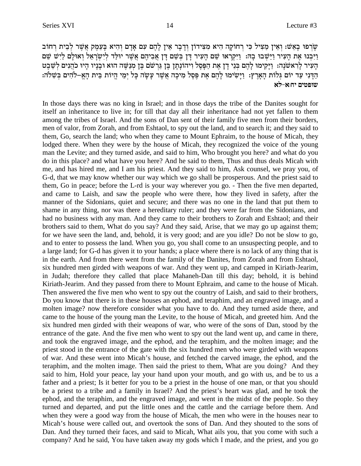שָׂרְפוּ בָאֲשׁ: וְאֵין מַצִּיל כִּי רְחוֹקָה הִיא מִצְידוֹן וְדָבָר אֵין לַהֶם עִם אַדָם וְהִיא בַּעֲמֵק אֲשֶׁר לְבֵית רְחוֹב וַיִּכְנוּ אֶת הָעִיר וַיֵּשִׁבוּ בָהּ: וַיִּקְרָאוּ שֵׁם הָעִיר דָּן בִּשֵׁם דָּן אֲבִיהֶם אֲשֵׁר יוּלַד לִיִשְׂרָאֵל וְאוּלַם לַיִּשׁ שֵׁם הַעִּיר לַרְאשׁנָה: וַיַּקִימוּ לַהֶם בְּנֵי דָן אֶת הַפָּסֶל וִיהוֹנַתַן בֵּן גֵּרְשֹׁם בֵּן מְנַשֶּׁה הוּא וּבָנָיו הַיוּ כֹהֲנִים לְשֶׁבֵט הַדִּנִי עַד יוֹם גִּלוֹת הַאֲרֵץ: וַיַּשִׂימוּ לַהֵם אֶת פֵּסֶל מִיכָה אֲשֶׁר עַשַׂה כָּל יִמֵי הֱיוֹת בֵּית הָאֵ–לֹהִים בְּשִׁלֹה: שופטים יה:א-לא

In those days there was no king in Israel; and in those days the tribe of the Danites sought for itself an inheritance to live in; for till that day all their inheritance had not yet fallen to them among the tribes of Israel. And the sons of Dan sent of their family five men from their borders, men of valor, from Zorah, and from Eshtaol, to spy out the land, and to search it; and they said to them, Go, search the land; who when they came to Mount Ephraim, to the house of Micah, they lodged there. When they were by the house of Micah, they recognized the voice of the young man the Levite; and they turned aside, and said to him, Who brought you here? and what do you do in this place? and what have you here? And he said to them, Thus and thus deals Micah with me, and has hired me, and I am his priest. And they said to him, Ask counsel, we pray you, of G-d, that we may know whether our way which we go shall be prosperous. And the priest said to them, Go in peace; before the L-rd is your way wherever you go. - Then the five men departed, and came to Laish, and saw the people who were there, how they lived in safety, after the manner of the Sidonians, quiet and secure; and there was no one in the land that put them to shame in any thing, nor was there a hereditary ruler; and they were far from the Sidonians, and had no business with any man. And they came to their brothers to Zorah and Eshtaol; and their brothers said to them, What do you say? And they said, Arise, that we may go up against them; for we have seen the land, and, behold, it is very good; and are you idle? Do not be slow to go, and to enter to possess the land. When you go, you shall come to an unsuspecting people, and to a large land; for G-d has given it to your hands; a place where there is no lack of any thing that is in the earth. And from there went from the family of the Danites, from Zorah and from Eshtaol, six hundred men girded with weapons of war. And they went up, and camped in Kiriath-Jearim, in Judah; therefore they called that place Mahaneh-Dan till this day; behold, it is behind Kiriath-Jearim. And they passed from there to Mount Ephraim, and came to the house of Micah. Then answered the five men who went to spy out the country of Laish, and said to their brothers, Do you know that there is in these houses an ephod, and teraphim, and an engraved image, and a molten image? now therefore consider what you have to do. And they turned aside there, and came to the house of the young man the Levite, to the house of Micah, and greeted him. And the six hundred men girded with their weapons of war, who were of the sons of Dan, stood by the entrance of the gate. And the five men who went to spy out the land went up, and came in there, and took the engraved image, and the ephod, and the teraphim, and the molten image; and the priest stood in the entrance of the gate with the six hundred men who were girded with weapons of war. And these went into Micah's house, and fetched the carved image, the ephod, and the teraphim, and the molten image. Then said the priest to them, What are you doing? And they said to him, Hold your peace, lay your hand upon your mouth, and go with us, and be to us a father and a priest; Is it better for you to be a priest in the house of one man, or that you should be a priest to a tribe and a family in Israel? And the priest's heart was glad, and he took the ephod, and the teraphim, and the engraved image, and went in the midst of the people. So they turned and departed, and put the little ones and the cattle and the carriage before them. And when they were a good way from the house of Micah, the men who were in the houses near to Micah's house were called out, and overtook the sons of Dan. And they shouted to the sons of Dan. And they turned their faces, and said to Micah, What ails you, that you come with such a company? And he said, You have taken away my gods which I made, and the priest, and you go